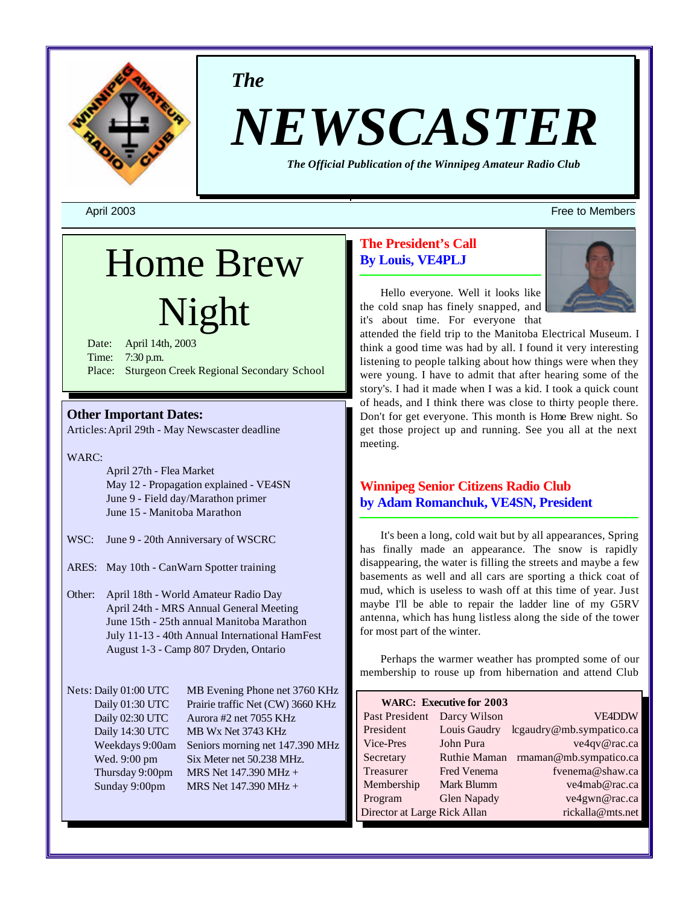

*The*

# *NEWSCASTER*

*The Official Publication of the Winnipeg Amateur Radio Club*

## Home Brew Night

Date: April 14th, 2003 Time: 7:30 p.m. Place: Sturgeon Creek Regional Secondary School

## **Other Important Dates:**

Articles:April 29th - May Newscaster deadline

WARC:

April 27th - Flea Market May 12 - Propagation explained - VE4SN June 9 - Field day/Marathon primer June 15 - Manitoba Marathon

- WSC: June 9 20th Anniversary of WSCRC
- ARES: May 10th CanWarn Spotter training
- Other: April 18th World Amateur Radio Day April 24th - MRS Annual General Meeting June 15th - 25th annual Manitoba Marathon July 11-13 - 40th Annual International HamFest August 1-3 - Camp 807 Dryden, Ontario

Nets: Daily 01:00 UTC MB Evening Phone net 3760 KHz Daily 01:30 UTC Prairie traffic Net (CW) 3660 KHz Daily 02:30 UTC Aurora #2 net 7055 KHz Daily 14:30 UTC MB Wx Net 3743 KHz Weekdays 9:00am Seniors morning net 147.390 MHz Wed. 9:00 pm Six Meter net 50.238 MHz. Thursday 9:00pm MRS Net  $147.390$  MHz + Sunday 9:00pm MRS Net 147.390 MHz +

## **The President's Call By Louis, VE4PLJ**



Hello everyone. Well it looks like the cold snap has finely snapped, and it's about time. For everyone that

attended the field trip to the Manitoba Electrical Museum. I think a good time was had by all. I found it very interesting listening to people talking about how things were when they were young. I have to admit that after hearing some of the story's. I had it made when I was a kid. I took a quick count of heads, and I think there was close to thirty people there. Don't for get everyone. This month is Home Brew night. So get those project up and running. See you all at the next meeting.

## **Winnipeg Senior Citizens Radio Club by Adam Romanchuk, VE4SN, President**

It's been a long, cold wait but by all appearances, Spring has finally made an appearance. The snow is rapidly disappearing, the water is filling the streets and maybe a few basements as well and all cars are sporting a thick coat of mud, which is useless to wash off at this time of year. Just maybe I'll be able to repair the ladder line of my G5RV antenna, which has hung listless along the side of the tower for most part of the winter.

Perhaps the warmer weather has prompted some of our membership to rouse up from hibernation and attend Club

| <b>WARC: Executive for 2003</b>                  |                     |                          |  |  |  |  |  |  |
|--------------------------------------------------|---------------------|--------------------------|--|--|--|--|--|--|
| Past President                                   | Darcy Wilson        | <b>VE4DDW</b>            |  |  |  |  |  |  |
| President                                        | Louis Gaudry        | lcgaudry@mb.sympatico.ca |  |  |  |  |  |  |
| Vice-Pres                                        | John Pura           | ve4qv@rac.ca             |  |  |  |  |  |  |
| Secretary                                        | <b>Ruthie Maman</b> | rmaman@mb.sympatico.ca   |  |  |  |  |  |  |
| Treasurer                                        | <b>Fred Venema</b>  | fvenema@shaw.ca          |  |  |  |  |  |  |
| Membership                                       | Mark Blumm          | ve4mab@rac.ca            |  |  |  |  |  |  |
| Program                                          | <b>Glen Napady</b>  | ve4gwn@rac.ca            |  |  |  |  |  |  |
| rickalla@mts.net<br>Director at Large Rick Allan |                     |                          |  |  |  |  |  |  |

#### April 2003 Free to Members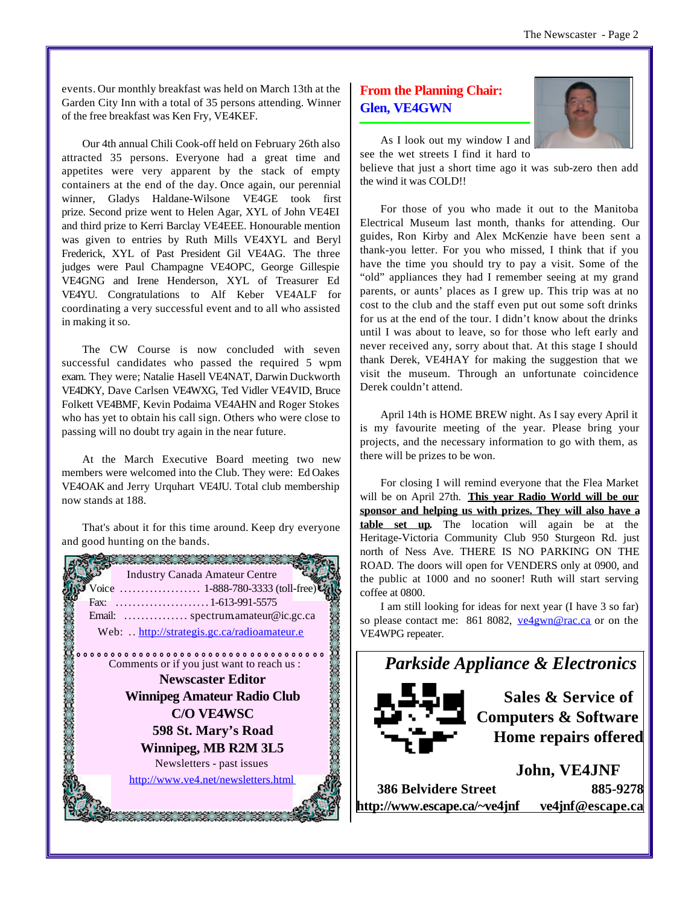events. Our monthly breakfast was held on March 13th at the Garden City Inn with a total of 35 persons attending. Winner of the free breakfast was Ken Fry, VE4KEF.

Our 4th annual Chili Cook-off held on February 26th also attracted 35 persons. Everyone had a great time and appetites were very apparent by the stack of empty containers at the end of the day. Once again, our perennial winner, Gladys Haldane-Wilsone VE4GE took first prize. Second prize went to Helen Agar, XYL of John VE4EI and third prize to Kerri Barclay VE4EEE. Honourable mention was given to entries by Ruth Mills VE4XYL and Beryl Frederick, XYL of Past President Gil VE4AG. The three judges were Paul Champagne VE4OPC, George Gillespie VE4GNG and Irene Henderson, XYL of Treasurer Ed VE4YU. Congratulations to Alf Keber VE4ALF for coordinating a very successful event and to all who assisted in making it so.

The CW Course is now concluded with seven successful candidates who passed the required 5 wpm exam. They were; Natalie Hasell VE4NAT, Darwin Duckworth VE4DKY, Dave Carlsen VE4WXG, Ted Vidler VE4VID, Bruce Folkett VE4BMF, Kevin Podaima VE4AHN and Roger Stokes who has yet to obtain his call sign. Others who were close to passing will no doubt try again in the near future.

At the March Executive Board meeting two new members were welcomed into the Club. They were: Ed Oakes VE4OAK and Jerry Urquhart VE4JU. Total club membership now stands at 188.

That's about it for this time around. Keep dry everyone and good hunting on the bands.



## **From the Planning Chair: Glen, VE4GWN**



As I look out my window I and see the wet streets I find it hard to

believe that just a short time ago it was sub-zero then add the wind it was COLD!!

For those of you who made it out to the Manitoba Electrical Museum last month, thanks for attending. Our guides, Ron Kirby and Alex McKenzie have been sent a thank-you letter. For you who missed, I think that if you have the time you should try to pay a visit. Some of the "old" appliances they had I remember seeing at my grand parents, or aunts' places as I grew up. This trip was at no cost to the club and the staff even put out some soft drinks for us at the end of the tour. I didn't know about the drinks until I was about to leave, so for those who left early and never received any, sorry about that. At this stage I should thank Derek, VE4HAY for making the suggestion that we visit the museum. Through an unfortunate coincidence Derek couldn't attend.

April 14th is HOME BREW night. As I say every April it is my favourite meeting of the year. Please bring your projects, and the necessary information to go with them, as there will be prizes to be won.

For closing I will remind everyone that the Flea Market will be on April 27th. **This year Radio World will be our sponsor and helping us with prizes. They will also have a table set up.** The location will again be at the Heritage-Victoria Community Club 950 Sturgeon Rd. just north of Ness Ave. THERE IS NO PARKING ON THE ROAD. The doors will open for VENDERS only at 0900, and the public at 1000 and no sooner! Ruth will start serving coffee at 0800.

I am still looking for ideas for next year (I have 3 so far) so please contact me: 861 8082, ve4gwn@rac.ca or on the VE4WPG repeater.

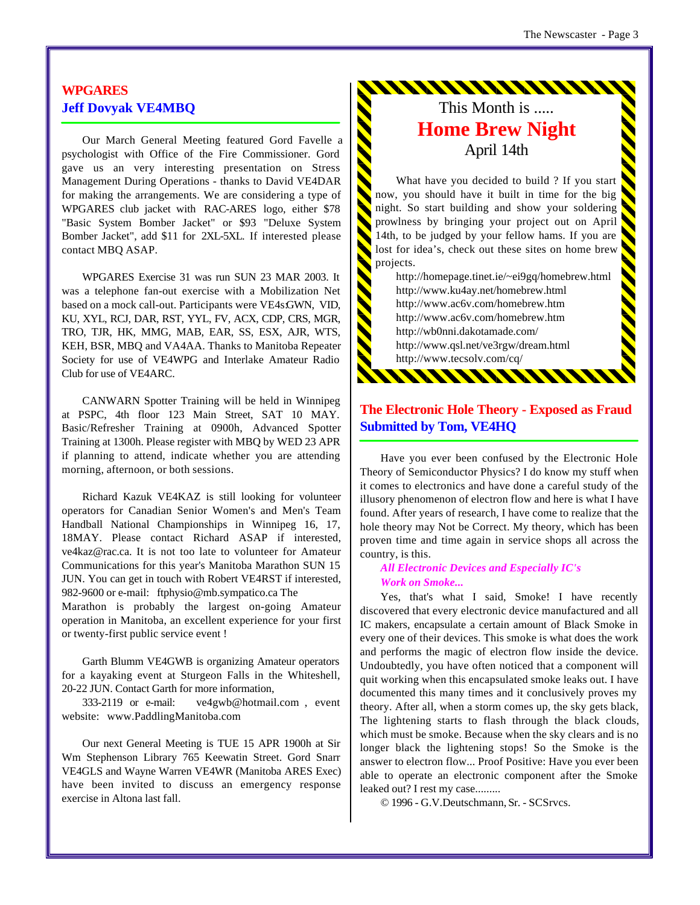## **WPGARES Jeff Dovyak VE4MBQ**

Our March General Meeting featured Gord Favelle a psychologist with Office of the Fire Commissioner. Gord gave us an very interesting presentation on Stress Management During Operations - thanks to David VE4DAR for making the arrangements. We are considering a type of WPGARES club jacket with RAC-ARES logo, either \$78 "Basic System Bomber Jacket" or \$93 "Deluxe System Bomber Jacket", add \$11 for 2XL-5XL. If interested please contact MBQ ASAP.

WPGARES Exercise 31 was run SUN 23 MAR 2003. It was a telephone fan-out exercise with a Mobilization Net based on a mock call-out. Participants were VE4s:GWN, VID, KU, XYL, RCJ, DAR, RST, YYL, FV, ACX, CDP, CRS, MGR, TRO, TJR, HK, MMG, MAB, EAR, SS, ESX, AJR, WTS, KEH, BSR, MBQ and VA4AA. Thanks to Manitoba Repeater Society for use of VE4WPG and Interlake Amateur Radio Club for use of VE4ARC.

CANWARN Spotter Training will be held in Winnipeg at PSPC, 4th floor 123 Main Street, SAT 10 MAY. Basic/Refresher Training at 0900h, Advanced Spotter Training at 1300h. Please register with MBQ by WED 23 APR if planning to attend, indicate whether you are attending morning, afternoon, or both sessions.

Richard Kazuk VE4KAZ is still looking for volunteer operators for Canadian Senior Women's and Men's Team Handball National Championships in Winnipeg 16, 17, 18MAY. Please contact Richard ASAP if interested, ve4kaz@rac.ca. It is not too late to volunteer for Amateur Communications for this year's Manitoba Marathon SUN 15 JUN. You can get in touch with Robert VE4RST if interested, 982-9600 or e-mail: ftphysio@mb.sympatico.ca The

Marathon is probably the largest on-going Amateur operation in Manitoba, an excellent experience for your first or twenty-first public service event !

Garth Blumm VE4GWB is organizing Amateur operators for a kayaking event at Sturgeon Falls in the Whiteshell, 20-22 JUN. Contact Garth for more information,

333-2119 or e-mail: ve4gwb@hotmail.com , event website: www.PaddlingManitoba.com

Our next General Meeting is TUE 15 APR 1900h at Sir Wm Stephenson Library 765 Keewatin Street. Gord Snarr VE4GLS and Wayne Warren VE4WR (Manitoba ARES Exec) have been invited to discuss an emergency response exercise in Altona last fall.

## This Month is ..... **Home Brew Night** April 14th

<u>ININININININ</u>

What have you decided to build ? If you start now, you should have it built in time for the big night. So start building and show your soldering prowlness by bringing your project out on April 14th, to be judged by your fellow hams. If you are lost for idea's, check out these sites on home brew projects.

N

> http://homepage.tinet.ie/~ei9gq/homebrew.html http://www.ku4ay.net/homebrew.html http://www.ac6v.com/homebrew.htm http://www.ac6v.com/homebrew.htm http://wb0nni.dakotamade.com/ http://www.qsl.net/ve3rgw/dream.html http://www.tecsolv.com/cq/

## **The Electronic Hole Theory - Exposed as Fraud Submitted by Tom, VE4HQ**

\*\*\*\*\*\*\*\*\*\*\*\*\*

Have you ever been confused by the Electronic Hole Theory of Semiconductor Physics? I do know my stuff when it comes to electronics and have done a careful study of the illusory phenomenon of electron flow and here is what I have found. After years of research, I have come to realize that the hole theory may Not be Correct. My theory, which has been proven time and time again in service shops all across the country, is this.

#### *All Electronic Devices and Especially IC's Work on Smoke...*

Yes, that's what I said, Smoke! I have recently discovered that every electronic device manufactured and all IC makers, encapsulate a certain amount of Black Smoke in every one of their devices. This smoke is what does the work and performs the magic of electron flow inside the device. Undoubtedly, you have often noticed that a component will quit working when this encapsulated smoke leaks out. I have documented this many times and it conclusively proves my theory. After all, when a storm comes up, the sky gets black, The lightening starts to flash through the black clouds, which must be smoke. Because when the sky clears and is no longer black the lightening stops! So the Smoke is the answer to electron flow... Proof Positive: Have you ever been able to operate an electronic component after the Smoke leaked out? I rest my case.........

© 1996 - G.V.Deutschmann, Sr. - SCSrvcs.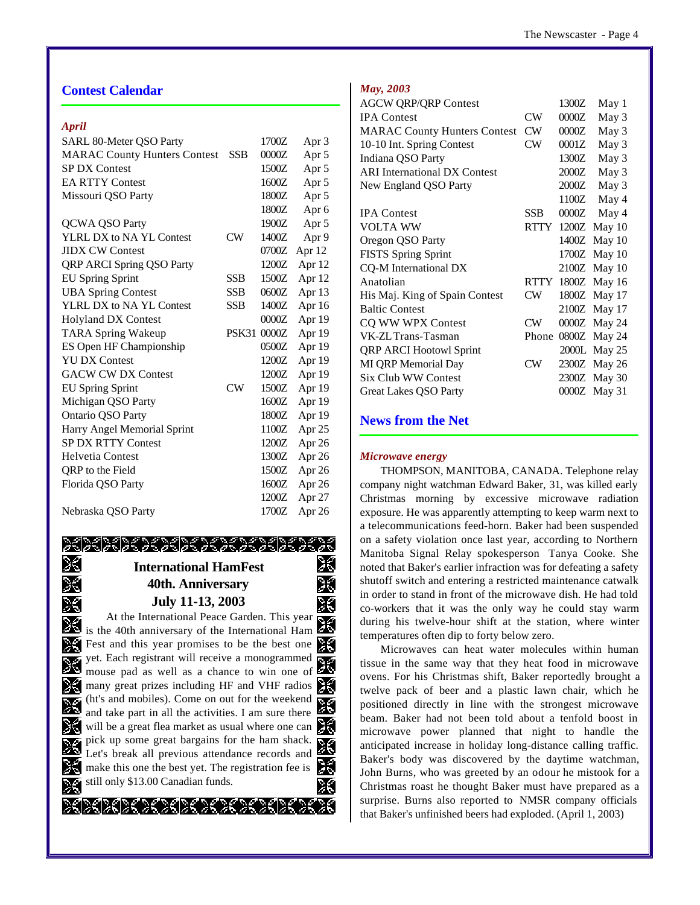### **Contest Calendar**

#### *April*

| SARL 80-Meter QSO Party             |            | 1700Z | Apr 3    |
|-------------------------------------|------------|-------|----------|
| <b>MARAC County Hunters Contest</b> | <b>SSB</b> | 0000Z | Apr 5    |
| <b>SP DX Contest</b>                |            | 1500Z | Apr 5    |
| <b>EA RTTY Contest</b>              |            | 1600Z | Apr 5    |
| Missouri QSO Party                  |            | 1800Z | Apr 5    |
|                                     |            | 1800Z | Apr 6    |
| <b>QCWA QSO Party</b>               |            | 1900Z | Apr 5    |
| YLRL DX to NA YL Contest            | CW         | 1400Z | Apr 9    |
| <b>JIDX CW Contest</b>              |            | 0700Z | Apr 12   |
| <b>QRP ARCI Spring QSO Party</b>    |            | 1200Z | Apr 12   |
| <b>EU Spring Sprint</b>             | <b>SSB</b> | 1500Z | Apr 12   |
| <b>UBA Spring Contest</b>           | SSB        | 0600Z | Apr 13   |
| YLRL DX to NA YL Contest            | <b>SSB</b> | 1400Z | Apr 16   |
| <b>Holyland DX Contest</b>          |            | 0000Z | Apr 19   |
| <b>TARA Spring Wakeup</b>           | PSK31      | 0000Z | Apr 19   |
| ES Open HF Championship             |            | 0500Z | Apr 19   |
| <b>YU DX Contest</b>                |            | 1200Z | Apr 19   |
| <b>GACW CW DX Contest</b>           |            | 1200Z | Apr 19   |
| <b>EU Spring Sprint</b>             | CW         | 1500Z | Apr 19   |
| Michigan QSO Party                  |            | 1600Z | Apr 19   |
| Ontario QSO Party                   |            | 1800Z | Apr 19   |
| Harry Angel Memorial Sprint         |            | 1100Z | Apr $25$ |
| <b>SP DX RTTY Contest</b>           |            | 1200Z | Apr 26   |
| <b>Helvetia Contest</b>             |            | 1300Z | Apr 26   |
| QRP to the Field                    |            | 1500Z | Apr 26   |
| Florida QSO Party                   |            | 1600Z | Apr 26   |
|                                     |            | 1200Z | Apr 27   |
| Nebraska OSO Party                  |            | 1700Z | Apr 26   |

#### XXXXXXXXXXXXXXXXXXX X ℅ **International HamFest** X % **40th. Anniversary July 11-13, 2003**  $\mathscr{L}$ 2E At the International Peace Garden. This year is the 40th anniversary of the International Ham % Fest and this year promises to be the best one  $\frac{6}{6}$ ৯€ yet. Each registrant will receive a monogrammed mouse pad as well as a chance to win one of %  $\frac{1}{2}$  many great prizes including HF and VHF radios (ht's and mobiles). Come on out for the weekend 兴 % and take part in all the activities. I am sure there will be a great flea market as usual where one can ЗŚ pick up some great bargains for the ham shack. X % Let's break all previous attendance records and make this one the best yet. The registration fee is  $\mathbb{R}$ ЗŚ

still only \$13.00 Canadian funds. ೫ 2E >{}{}{}{}{}{}}}}}}}

#### *May, 2003*

| <b>AGCW QRP/QRP Contest</b>         |                 | 1300Z | May 1        |
|-------------------------------------|-----------------|-------|--------------|
| <b>IPA</b> Contest                  | CW              | 0000Z | May 3        |
| <b>MARAC County Hunters Contest</b> | <b>CW</b>       | 0000Z | May 3        |
| 10-10 Int. Spring Contest           | CW              | 0001Z | May 3        |
| Indiana QSO Party                   |                 | 1300Z | May 3        |
| <b>ARI</b> International DX Contest |                 | 2000Z | May 3        |
| New England QSO Party               |                 | 2000Z | May 3        |
|                                     |                 | 1100Z | May 4        |
| <b>IPA</b> Contest                  | <b>SSB</b>      | 0000Z | May 4        |
| <b>VOLTA WW</b>                     | RTTY            |       | 1200Z May 10 |
| Oregon QSO Party                    |                 |       | 1400Z May 10 |
| <b>FISTS Spring Sprint</b>          |                 |       | 1700Z May 10 |
| CQ-M International DX               |                 |       | 2100Z May 10 |
| Anatolian                           | RTTY            |       | 1800Z May 16 |
| His Maj. King of Spain Contest      | CW              |       | 1800Z May 17 |
| <b>Baltic Contest</b>               |                 |       | 2100Z May 17 |
| CQ WW WPX Contest                   | <b>CW</b>       |       | 0000Z May 24 |
| VK-ZL Trans-Tasman                  | Phone           |       | 0800Z May 24 |
| <b>QRP ARCI Hootowl Sprint</b>      |                 |       | 2000L May 25 |
| MI QRP Memorial Day                 | CW <sup>-</sup> |       | 2300Z May 26 |
| Six Club WW Contest                 |                 |       | 2300Z May 30 |
| Great Lakes QSO Party               |                 |       | 0000Z May 31 |

## **News from the Net**

#### *Microwave energy*

THOMPSON, MANITOBA, CANADA. Telephone relay company night watchman Edward Baker, 31, was killed early Christmas morning by excessive microwave radiation exposure. He was apparently attempting to keep warm next to a telecommunications feed-horn. Baker had been suspended on a safety violation once last year, according to Northern Manitoba Signal Relay spokesperson Tanya Cooke. She noted that Baker's earlier infraction was for defeating a safety shutoff switch and entering a restricted maintenance catwalk in order to stand in front of the microwave dish. He had told co-workers that it was the only way he could stay warm during his twelve-hour shift at the station, where winter temperatures often dip to forty below zero.

Microwaves can heat water molecules within human tissue in the same way that they heat food in microwave ovens. For his Christmas shift, Baker reportedly brought a twelve pack of beer and a plastic lawn chair, which he positioned directly in line with the strongest microwave beam. Baker had not been told about a tenfold boost in microwave power planned that night to handle the anticipated increase in holiday long-distance calling traffic. Baker's body was discovered by the daytime watchman, John Burns, who was greeted by an odour he mistook for a Christmas roast he thought Baker must have prepared as a surprise. Burns also reported to NMSR company officials that Baker's unfinished beers had exploded. (April 1, 2003)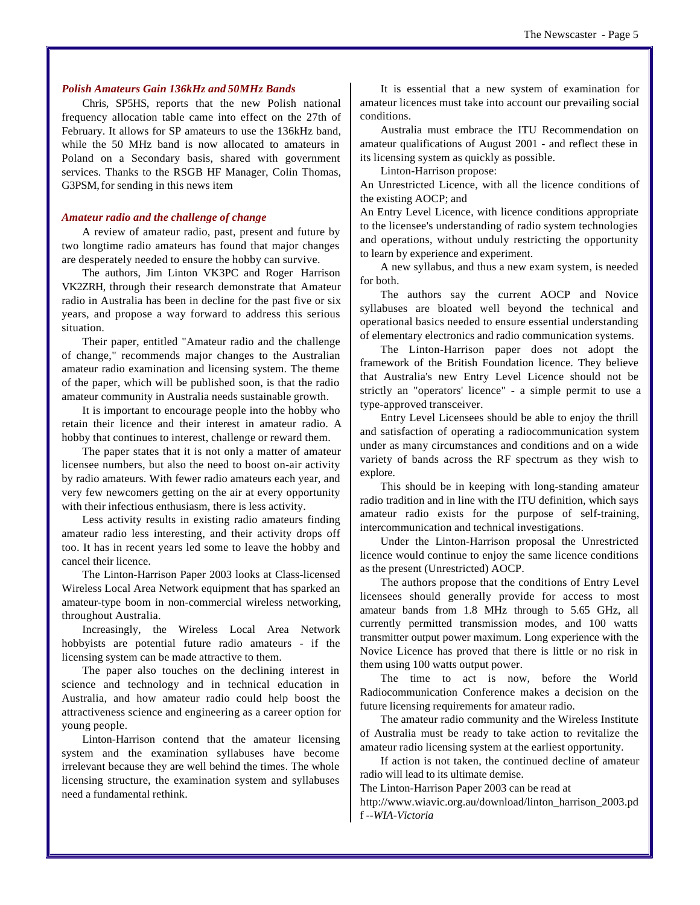#### *Polish Amateurs Gain 136kHz and 50MHz Bands*

Chris, SP5HS, reports that the new Polish national frequency allocation table came into effect on the 27th of February. It allows for SP amateurs to use the 136kHz band, while the 50 MHz band is now allocated to amateurs in Poland on a Secondary basis, shared with government services. Thanks to the RSGB HF Manager, Colin Thomas, G3PSM, for sending in this news item

#### *Amateur radio and the challenge of change*

A review of amateur radio, past, present and future by two longtime radio amateurs has found that major changes are desperately needed to ensure the hobby can survive.

The authors, Jim Linton VK3PC and Roger Harrison VK2ZRH, through their research demonstrate that Amateur radio in Australia has been in decline for the past five or six years, and propose a way forward to address this serious situation.

Their paper, entitled "Amateur radio and the challenge of change," recommends major changes to the Australian amateur radio examination and licensing system. The theme of the paper, which will be published soon, is that the radio amateur community in Australia needs sustainable growth.

It is important to encourage people into the hobby who retain their licence and their interest in amateur radio. A hobby that continues to interest, challenge or reward them.

The paper states that it is not only a matter of amateur licensee numbers, but also the need to boost on-air activity by radio amateurs. With fewer radio amateurs each year, and very few newcomers getting on the air at every opportunity with their infectious enthusiasm, there is less activity.

Less activity results in existing radio amateurs finding amateur radio less interesting, and their activity drops off too. It has in recent years led some to leave the hobby and cancel their licence.

The Linton-Harrison Paper 2003 looks at Class-licensed Wireless Local Area Network equipment that has sparked an amateur-type boom in non-commercial wireless networking, throughout Australia.

Increasingly, the Wireless Local Area Network hobbyists are potential future radio amateurs - if the licensing system can be made attractive to them.

The paper also touches on the declining interest in science and technology and in technical education in Australia, and how amateur radio could help boost the attractiveness science and engineering as a career option for young people.

Linton-Harrison contend that the amateur licensing system and the examination syllabuses have become irrelevant because they are well behind the times. The whole licensing structure, the examination system and syllabuses need a fundamental rethink.

It is essential that a new system of examination for amateur licences must take into account our prevailing social conditions.

Australia must embrace the ITU Recommendation on amateur qualifications of August 2001 - and reflect these in its licensing system as quickly as possible.

Linton-Harrison propose:

An Unrestricted Licence, with all the licence conditions of the existing AOCP; and

An Entry Level Licence, with licence conditions appropriate to the licensee's understanding of radio system technologies and operations, without unduly restricting the opportunity to learn by experience and experiment.

A new syllabus, and thus a new exam system, is needed for both.

The authors say the current AOCP and Novice syllabuses are bloated well beyond the technical and operational basics needed to ensure essential understanding of elementary electronics and radio communication systems.

The Linton-Harrison paper does not adopt the framework of the British Foundation licence. They believe that Australia's new Entry Level Licence should not be strictly an "operators' licence" - a simple permit to use a type-approved transceiver.

Entry Level Licensees should be able to enjoy the thrill and satisfaction of operating a radiocommunication system under as many circumstances and conditions and on a wide variety of bands across the RF spectrum as they wish to explore.

This should be in keeping with long-standing amateur radio tradition and in line with the ITU definition, which says amateur radio exists for the purpose of self-training, intercommunication and technical investigations.

Under the Linton-Harrison proposal the Unrestricted licence would continue to enjoy the same licence conditions as the present (Unrestricted) AOCP.

The authors propose that the conditions of Entry Level licensees should generally provide for access to most amateur bands from 1.8 MHz through to 5.65 GHz, all currently permitted transmission modes, and 100 watts transmitter output power maximum. Long experience with the Novice Licence has proved that there is little or no risk in them using 100 watts output power.

The time to act is now, before the World Radiocommunication Conference makes a decision on the future licensing requirements for amateur radio.

The amateur radio community and the Wireless Institute of Australia must be ready to take action to revitalize the amateur radio licensing system at the earliest opportunity.

If action is not taken, the continued decline of amateur radio will lead to its ultimate demise.

The Linton-Harrison Paper 2003 can be read at

http://www.wiavic.org.au/download/linton\_harrison\_2003.pd f *--WIA-Victoria*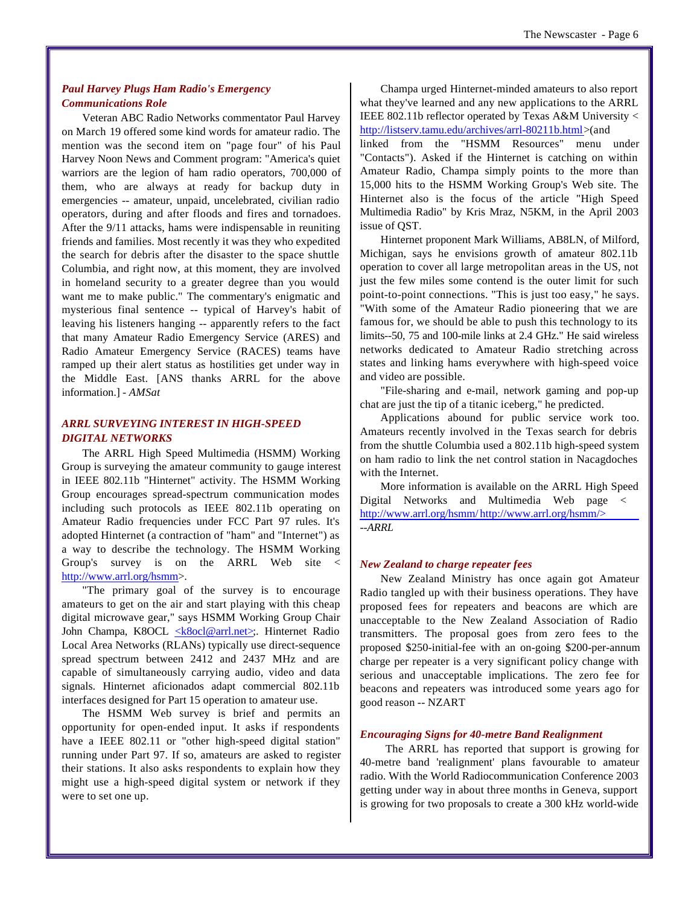#### *Paul Harvey Plugs Ham Radio's Emergency Communications Role*

Veteran ABC Radio Networks commentator Paul Harvey on March 19 offered some kind words for amateur radio. The mention was the second item on "page four" of his Paul Harvey Noon News and Comment program: "America's quiet warriors are the legion of ham radio operators, 700,000 of them, who are always at ready for backup duty in emergencies -- amateur, unpaid, uncelebrated, civilian radio operators, during and after floods and fires and tornadoes. After the 9/11 attacks, hams were indispensable in reuniting friends and families. Most recently it was they who expedited the search for debris after the disaster to the space shuttle Columbia, and right now, at this moment, they are involved in homeland security to a greater degree than you would want me to make public." The commentary's enigmatic and mysterious final sentence -- typical of Harvey's habit of leaving his listeners hanging -- apparently refers to the fact that many Amateur Radio Emergency Service (ARES) and Radio Amateur Emergency Service (RACES) teams have ramped up their alert status as hostilities get under way in the Middle East. [ANS thanks ARRL for the above information.] *- AMSat*

#### *ARRL SURVEYING INTEREST IN HIGH-SPEED DIGITAL NETWORKS*

The ARRL High Speed Multimedia (HSMM) Working Group is surveying the amateur community to gauge interest in IEEE 802.11b "Hinternet" activity. The HSMM Working Group encourages spread-spectrum communication modes including such protocols as IEEE 802.11b operating on Amateur Radio frequencies under FCC Part 97 rules. It's adopted Hinternet (a contraction of "ham" and "Internet") as a way to describe the technology. The HSMM Working Group's survey is on the ARRL Web site < http://www.arrl.org/hsmm>.

"The primary goal of the survey is to encourage amateurs to get on the air and start playing with this cheap digital microwave gear," says HSMM Working Group Chair John Champa, K8OCL <k8ocl@arrl.net>;. Hinternet Radio Local Area Networks (RLANs) typically use direct-sequence spread spectrum between 2412 and 2437 MHz and are capable of simultaneously carrying audio, video and data signals. Hinternet aficionados adapt commercial 802.11b interfaces designed for Part 15 operation to amateur use.

The HSMM Web survey is brief and permits an opportunity for open-ended input. It asks if respondents have a IEEE 802.11 or "other high-speed digital station" running under Part 97. If so, amateurs are asked to register their stations. It also asks respondents to explain how they might use a high-speed digital system or network if they were to set one up.

Champa urged Hinternet-minded amateurs to also report what they've learned and any new applications to the ARRL IEEE 802.11b reflector operated by Texas A&M University < http://listserv.tamu.edu/archives/arrl-80211b.html>(and linked from the "HSMM Resources" menu under "Contacts"). Asked if the Hinternet is catching on within Amateur Radio, Champa simply points to the more than 15,000 hits to the HSMM Working Group's Web site. The Hinternet also is the focus of the article "High Speed Multimedia Radio" by Kris Mraz, N5KM, in the April 2003 issue of QST.

Hinternet proponent Mark Williams, AB8LN, of Milford, Michigan, says he envisions growth of amateur 802.11b operation to cover all large metropolitan areas in the US, not just the few miles some contend is the outer limit for such point-to-point connections. "This is just too easy," he says. "With some of the Amateur Radio pioneering that we are famous for, we should be able to push this technology to its limits--50, 75 and 100-mile links at 2.4 GHz." He said wireless networks dedicated to Amateur Radio stretching across states and linking hams everywhere with high-speed voice and video are possible.

"File-sharing and e-mail, network gaming and pop-up chat are just the tip of a titanic iceberg," he predicted.

Applications abound for public service work too. Amateurs recently involved in the Texas search for debris from the shuttle Columbia used a 802.11b high-speed system on ham radio to link the net control station in Nacagdoches with the Internet.

More information is available on the ARRL High Speed Digital Networks and Multimedia Web page < http://www.arrl.org/hsmm/ http://www.arrl.org/hsmm/> *--ARRL*

#### *New Zealand to charge repeater fees*

New Zealand Ministry has once again got Amateur Radio tangled up with their business operations. They have proposed fees for repeaters and beacons are which are unacceptable to the New Zealand Association of Radio transmitters. The proposal goes from zero fees to the proposed \$250-initial-fee with an on-going \$200-per-annum charge per repeater is a very significant policy change with serious and unacceptable implications. The zero fee for beacons and repeaters was introduced some years ago for good reason -- NZART

#### *Encouraging Signs for 40-metre Band Realignment*

 The ARRL has reported that support is growing for 40-metre band 'realignment' plans favourable to amateur radio. With the World Radiocommunication Conference 2003 getting under way in about three months in Geneva, support is growing for two proposals to create a 300 kHz world-wide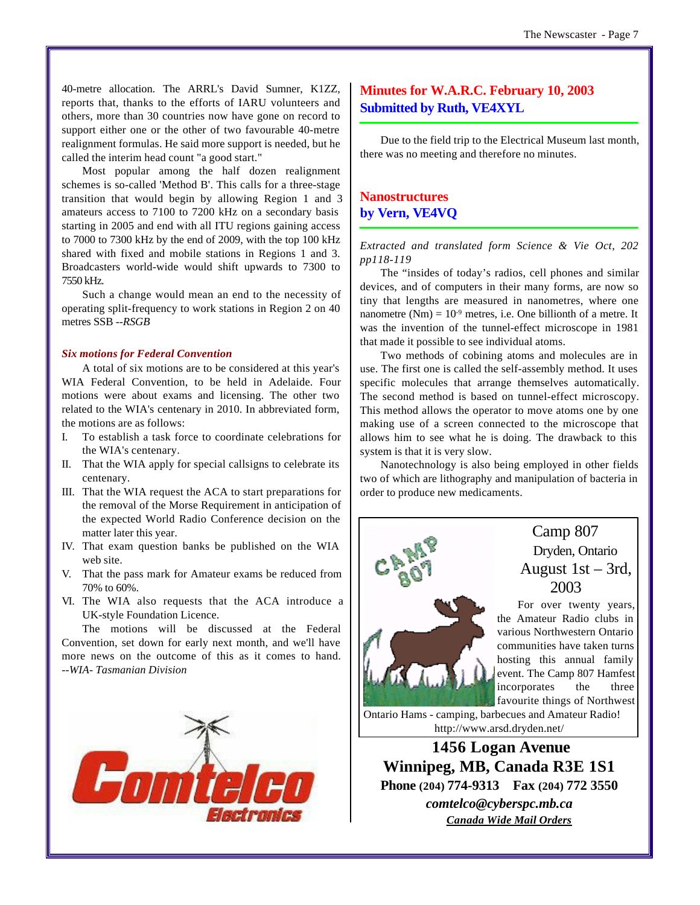40-metre allocation. The ARRL's David Sumner, K1ZZ, reports that, thanks to the efforts of IARU volunteers and others, more than 30 countries now have gone on record to support either one or the other of two favourable 40-metre realignment formulas. He said more support is needed, but he called the interim head count "a good start."

Most popular among the half dozen realignment schemes is so-called 'Method B'. This calls for a three-stage transition that would begin by allowing Region 1 and 3 amateurs access to 7100 to 7200 kHz on a secondary basis starting in 2005 and end with all ITU regions gaining access to 7000 to 7300 kHz by the end of 2009, with the top 100 kHz shared with fixed and mobile stations in Regions 1 and 3. Broadcasters world-wide would shift upwards to 7300 to 7550 kHz.

Such a change would mean an end to the necessity of operating split-frequency to work stations in Region 2 on 40 metres SSB *--RSGB*

#### *Six motions for Federal Convention*

A total of six motions are to be considered at this year's WIA Federal Convention, to be held in Adelaide. Four motions were about exams and licensing. The other two related to the WIA's centenary in 2010. In abbreviated form, the motions are as follows:

- I. To establish a task force to coordinate celebrations for the WIA's centenary.
- II. That the WIA apply for special callsigns to celebrate its centenary.
- III. That the WIA request the ACA to start preparations for the removal of the Morse Requirement in anticipation of the expected World Radio Conference decision on the matter later this year.
- IV. That exam question banks be published on the WIA web site.
- V. That the pass mark for Amateur exams be reduced from 70% to 60%.
- VI. The WIA also requests that the ACA introduce a UK-style Foundation Licence.

The motions will be discussed at the Federal Convention, set down for early next month, and we'll have more news on the outcome of this as it comes to hand. *--WIA- Tasmanian Division*



## **Minutes for W.A.R.C. February 10, 2003 Submitted by Ruth, VE4XYL**

Due to the field trip to the Electrical Museum last month, there was no meeting and therefore no minutes.

## **Nanostructures by Vern, VE4VQ**

*Extracted and translated form Science & Vie Oct, 202 pp118-119*

The "insides of today's radios, cell phones and similar devices, and of computers in their many forms, are now so tiny that lengths are measured in nanometres, where one nanometre (Nm) =  $10^{-9}$  metres, i.e. One billionth of a metre. It was the invention of the tunnel-effect microscope in 1981 that made it possible to see individual atoms.

Two methods of cobining atoms and molecules are in use. The first one is called the self-assembly method. It uses specific molecules that arrange themselves automatically. The second method is based on tunnel-effect microscopy. This method allows the operator to move atoms one by one making use of a screen connected to the microscope that allows him to see what he is doing. The drawback to this system is that it is very slow.

Nanotechnology is also being employed in other fields two of which are lithography and manipulation of bacteria in order to produce new medicaments.



Camp 807 Dryden, Ontario August 1st – 3rd, 2003

For over twenty years, the Amateur Radio clubs in various Northwestern Ontario communities have taken turns hosting this annual family event. The Camp 807 Hamfest incorporates the three favourite things of Northwest

Ontario Hams - camping, barbecues and Amateur Radio! http://www.arsd.dryden.net/

 **1456 Logan Avenue Winnipeg, MB, Canada R3E 1S1 Phone (204) 774-9313 Fax (204) 772 3550** *comtelco@cyberspc.mb.ca Canada Wide Mail Orders*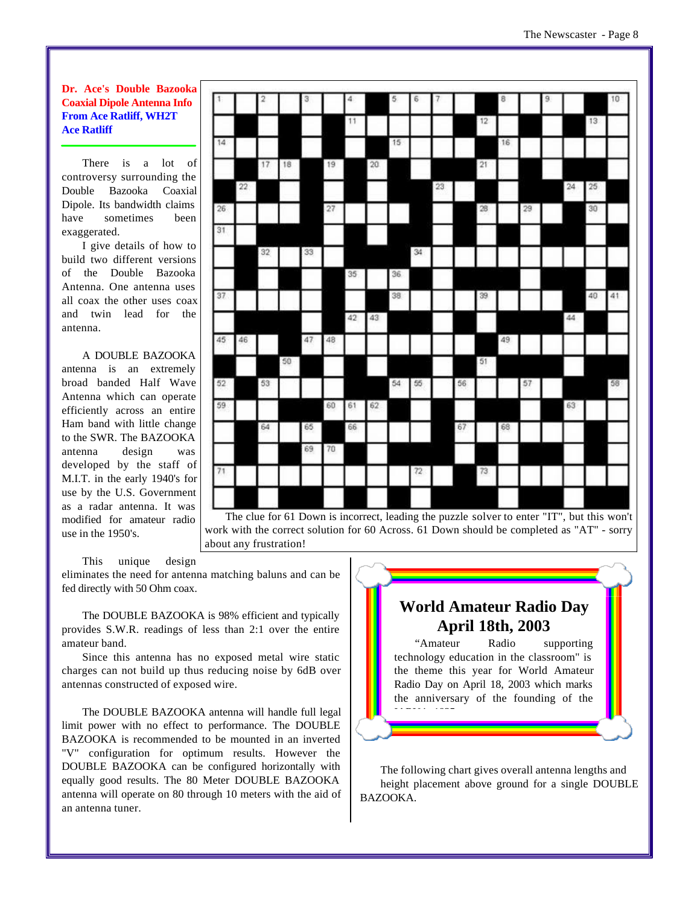There is a lot of controversy surrounding the Double Bazooka Coaxial Dipole. Its bandwidth claims have sometimes been exaggerated.

I give details of how to build two different versions of the Double Bazooka Antenna. One antenna uses all coax the other uses coax and twin lead for the antenna.

#### A DOUBLE BAZOOKA

antenna is an extremely broad banded Half Wave Antenna which can operate efficiently across an entire Ham band with little change to the SWR. The BAZOOKA antenna design was developed by the staff of M.I.T. in the early 1940's for use by the U.S. Government as a radar antenna. It was modified for amateur radio use in the 1950's.

|    |    |    |    | 3  |    | 4  |    | 5  | 6  |    |    |    | 8  |    | 9 |         |    | 10 |
|----|----|----|----|----|----|----|----|----|----|----|----|----|----|----|---|---------|----|----|
|    |    |    |    |    |    | 11 |    |    |    |    |    | 12 |    |    |   |         | 13 |    |
| 14 |    |    |    |    |    |    |    | 15 |    |    |    |    | 16 |    |   |         |    |    |
|    |    | 17 | 18 |    | 19 |    | 20 |    |    |    |    | 21 |    |    |   |         |    |    |
|    | 22 |    |    |    |    |    |    |    |    | 23 |    |    |    |    |   | $^{24}$ | 25 |    |
| 26 |    |    |    |    | 27 |    |    |    |    |    |    | 28 |    | 29 |   |         | 30 |    |
| 31 |    |    |    |    |    |    |    |    |    |    |    |    |    |    |   |         |    |    |
|    |    | 32 |    | 33 |    |    |    |    | 34 |    |    |    |    |    |   |         |    |    |
|    |    |    |    |    |    | 35 |    | 36 |    |    |    |    |    |    |   |         |    |    |
| 37 |    |    |    |    |    |    |    | 38 |    |    |    | 39 |    |    |   |         | 40 | 41 |
|    |    |    |    |    |    | 42 | 43 |    |    |    |    |    |    |    |   | 44      |    |    |
| 45 | 46 |    |    | 47 | 48 |    |    |    |    |    |    |    | 49 |    |   |         |    |    |
|    |    |    | 50 |    |    |    |    |    |    |    |    | 51 |    |    |   |         |    |    |
| 52 |    | 53 |    |    |    |    |    | 54 | 55 |    | 56 |    |    | 57 |   |         |    | 58 |
| 59 |    |    |    |    | 60 | 61 | 62 |    |    |    |    |    |    |    |   | 63      |    |    |
|    |    | 64 |    |    |    |    |    |    |    |    | 67 |    | 68 |    |   |         |    |    |
|    |    |    |    | 65 |    | 66 |    |    |    |    |    |    |    |    |   |         |    |    |
|    |    |    |    | 69 | 70 |    |    |    |    |    |    |    |    |    |   |         |    |    |
| 71 |    |    |    |    |    |    |    |    | 72 |    |    | 73 |    |    |   |         |    |    |
|    |    |    |    |    |    |    |    |    |    |    |    |    |    |    |   |         |    |    |

work with the correct solution for 60 Across. 61 Down should be completed as "AT" - sorry about any frustration!

This unique design

eliminates the need for antenna matching baluns and can be fed directly with 50 Ohm coax.

The DOUBLE BAZOOKA is 98% efficient and typically provides S.W.R. readings of less than 2:1 over the entire amateur band.

Since this antenna has no exposed metal wire static charges can not build up thus reducing noise by 6dB over antennas constructed of exposed wire.

The DOUBLE BAZOOKA antenna will handle full legal limit power with no effect to performance. The DOUBLE BAZOOKA is recommended to be mounted in an inverted "V" configuration for optimum results. However the DOUBLE BAZOOKA can be configured horizontally with equally good results. The 80 Meter DOUBLE BAZOOKA antenna will operate on 80 through 10 meters with the aid of an antenna tuner.

## **World Amateur Radio Day April 18th, 2003**

"Amateur Radio supporting technology education in the classroom" is the theme this year for World Amateur Radio Day on April 18, 2003 which marks the anniversary of the founding of the IARU in 1925.

The following chart gives overall antenna lengths and height placement above ground for a single DOUBLE BAZOOKA.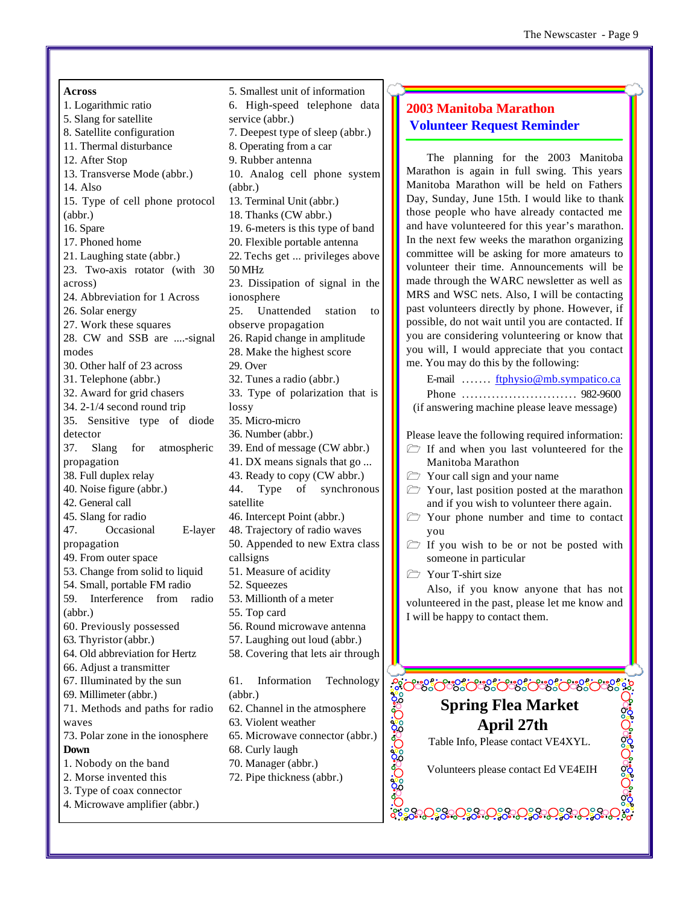**Across**  1. Logarithmic ratio 5. Slang for satellite 8. Satellite configuration 11. Thermal disturbance 12. After Stop 13. Transverse Mode (abbr.) 14. Also 15. Type of cell phone protocol (abbr.) 16. Spare 17. Phoned home 21. Laughing state (abbr.) 23. Two-axis rotator (with 30 across) 24. Abbreviation for 1 Across 26. Solar energy 27. Work these squares 28. CW and SSB are ....-signal modes 30. Other half of 23 across 31. Telephone (abbr.) 32. Award for grid chasers 34. 2-1/4 second round trip 35. Sensitive type of diode detector 37. Slang for atmospheric propagation 38. Full duplex relay 40. Noise figure (abbr.) 42. General call 45. Slang for radio 47. Occasional E-layer propagation 49. From outer space 53. Change from solid to liquid 54. Small, portable FM radio 59. Interference from radio (abbr.) 60. Previously possessed 63. Thyristor (abbr.) 64. Old abbreviation for Hertz 66. Adjust a transmitter 67. Illuminated by the sun 69. Millimeter (abbr.) 71. Methods and paths for radio waves 73. Polar zone in the ionosphere **Down**  1. Nobody on the band 2. Morse invented this 3. Type of coax connector 4. Microwave amplifier (abbr.)

5. Smallest unit of information 6. High-speed telephone data service (abbr.) 7. Deepest type of sleep (abbr.) 8. Operating from a car 9. Rubber antenna 10. Analog cell phone system (abbr.) 13. Terminal Unit (abbr.) 18. Thanks (CW abbr.) 19. 6-meters is this type of band 20. Flexible portable antenna 22. Techs get ... privileges above 50 MHz 23. Dissipation of signal in the ionosphere 25. Unattended station to observe propagation 26. Rapid change in amplitude 28. Make the highest score 29. Over 32. Tunes a radio (abbr.) 33. Type of polarization that is lossy 35. Micro-micro 36. Number (abbr.) 39. End of message (CW abbr.) 41. DX means signals that go ... 43. Ready to copy (CW abbr.) 44. Type of synchronous satellite 46. Intercept Point (abbr.) 48. Trajectory of radio waves 50. Appended to new Extra class callsigns 51. Measure of acidity 52. Squeezes 53. Millionth of a meter 55. Top card 56. Round microwave antenna 57. Laughing out loud (abbr.) 58. Covering that lets air through 61. Information Technology (abbr.) 62. Channel in the atmosphere 63. Violent weather 65. Microwave connector (abbr.) 68. Curly laugh 70. Manager (abbr.) 72. Pipe thickness (abbr.)

## **2003 Manitoba Marathon Volunteer Request Reminder**

The planning for the 2003 Manitoba Marathon is again in full swing. This years Manitoba Marathon will be held on Fathers Day, Sunday, June 15th. I would like to thank those people who have already contacted me and have volunteered for this year's marathon. In the next few weeks the marathon organizing committee will be asking for more amateurs to volunteer their time. Announcements will be made through the WARC newsletter as well as MRS and WSC nets. Also, I will be contacting past volunteers directly by phone. However, if possible, do not wait until you are contacted. If you are considering volunteering or know that you will, I would appreciate that you contact me. You may do this by the following:

E-mail ....... ftphysio@mb.sympatico.ca Phone ........................... 982-9600 (if answering machine please leave message)

Please leave the following required information:

- $\triangleright$  If and when you last volunteered for the Manitoba Marathon
- $\triangleright$  Your call sign and your name
- $\triangleright$  Your, last position posted at the marathon and if you wish to volunteer there again.
- $\triangleright$  Your phone number and time to contact you
- $\triangleright$  If you wish to be or not be posted with someone in particular
- T-shirt size

<u>ာ အင်္ဘာ အင်္ဘာ အင်္</u>

Also, if you know anyone that has not volunteered in the past, please let me know and I will be happy to contact them.

## ಿಂದಿ ಇಲ್ಲಿ ಇಲ್ಲಿ ಇಲ್ಲಿ ಇಲ್ಲಿ ಇಲ್ಲಿ ಇಲ್ಲಿ ಇಲ್ಲಿ ಇಲ್ಲಿ ಇಲ್ಲಿ ಇಲ್ಲಿ ಇಲ್ಲಿ ಇಲ್ಲಿ ಇಲ್ಲಿ ಇಲ್ಲಿ ಇಲ್ಲಿ ಇಲ್ಲಿ ಇಲ್ಲಿ ಇಲ್ಲ **Spring Flea Market April 27th** Table Info, Please contact VE4XYL.

Volunteers please contact Ed VE4EIH

ႜၟၟၣၣၟၟၟၟၟၟၟၟၟၟၣၟၟၣၣၟၣၣၟၣၣၟၣၣၟ